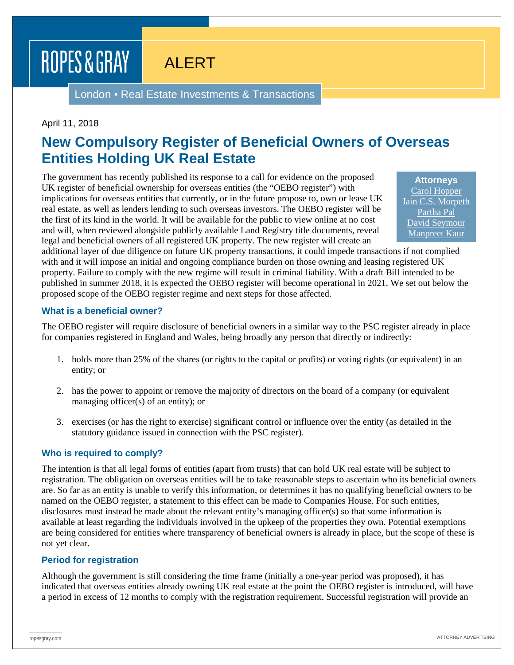# ROPES & GRAY

# ALERT

London ▪ Real Estate Investments & Transactions

#### April 11, 2018

## **New Compulsory Register of Beneficial Owners of Overseas Entities Holding UK Real Estate**

The government has recently published its response to a call for evidence on the proposed UK register of beneficial ownership for overseas entities (the "OEBO register") with implications for overseas entities that currently, or in the future propose to, own or lease UK real estate, as well as lenders lending to such overseas investors. The OEBO register will be the first of its kind in the world. It will be available for the public to view online at no cost and will, when reviewed alongside publicly available Land Registry title documents, reveal legal and beneficial owners of all registered UK property. The new register will create an

**Attorneys** [Carol Hopper](https://www.ropesgray.com/en/biographies/h/carol-hopper) [Iain C.S. Morpeth](https://www.ropesgray.com/en/biographies/m/iain-cs-morpeth) [Partha Pal](https://www.ropesgray.com/en/biographies/p/partha-pal) [David Seymour](https://www.ropesgray.com/en/biographies/s/david-seymour) [Manpreet Kaur](https://www.ropesgray.com/en/biographies/k/manpreet-kaur)

additional layer of due diligence on future UK property transactions, it could impede transactions if not complied with and it will impose an initial and ongoing compliance burden on those owning and leasing registered UK property. Failure to comply with the new regime will result in criminal liability. With a draft Bill intended to be published in summer 2018, it is expected the OEBO register will become operational in 2021. We set out below the proposed scope of the OEBO register regime and next steps for those affected.

#### **What is a beneficial owner?**

The OEBO register will require disclosure of beneficial owners in a similar way to the PSC register already in place for companies registered in England and Wales, being broadly any person that directly or indirectly:

- 1. holds more than 25% of the shares (or rights to the capital or profits) or voting rights (or equivalent) in an entity; or
- 2. has the power to appoint or remove the majority of directors on the board of a company (or equivalent managing officer(s) of an entity); or
- 3. exercises (or has the right to exercise) significant control or influence over the entity (as detailed in the statutory guidance issued in connection with the PSC register).

#### **Who is required to comply?**

The intention is that all legal forms of entities (apart from trusts) that can hold UK real estate will be subject to registration. The obligation on overseas entities will be to take reasonable steps to ascertain who its beneficial owners are. So far as an entity is unable to verify this information, or determines it has no qualifying beneficial owners to be named on the OEBO register, a statement to this effect can be made to Companies House. For such entities, disclosures must instead be made about the relevant entity's managing officer(s) so that some information is available at least regarding the individuals involved in the upkeep of the properties they own. Potential exemptions are being considered for entities where transparency of beneficial owners is already in place, but the scope of these is not yet clear.

#### **Period for registration**

Although the government is still considering the time frame (initially a one-year period was proposed), it has indicated that overseas entities already owning UK real estate at the point the OEBO register is introduced, will have a period in excess of 12 months to comply with the registration requirement. Successful registration will provide an